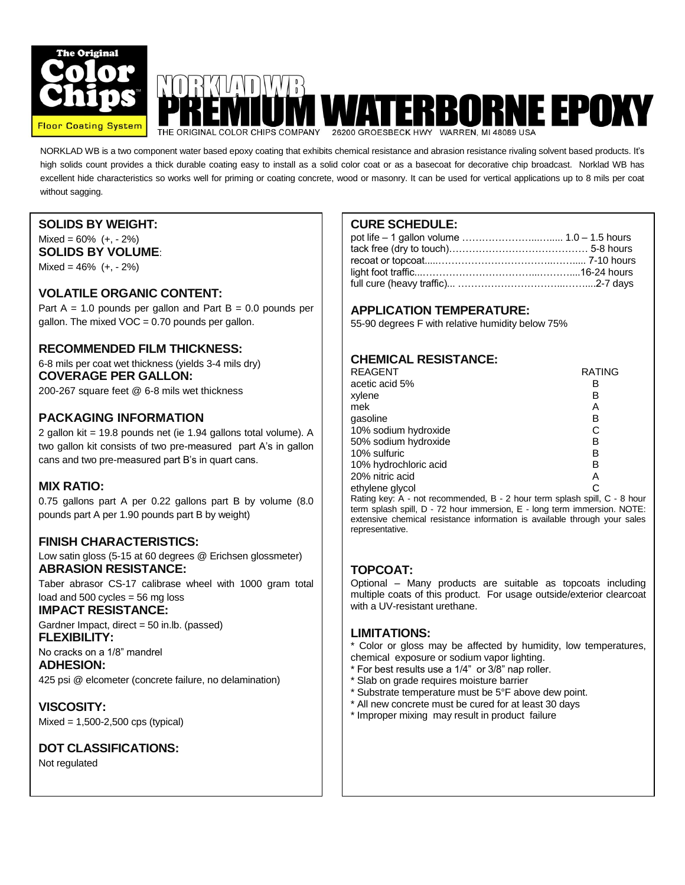

# **WATERBORNE EPOXY** THE ORIGINAL COLOR CHIPS COMPANY

NORKLAD WB is a two component water based epoxy coating that exhibits chemical resistance and abrasion resistance rivaling solvent based products. It's high solids count provides a thick durable coating easy to install as a solid color coat or as a basecoat for decorative chip broadcast. Norklad WB has excellent hide characteristics so works well for priming or coating concrete, wood or masonry. It can be used for vertical applications up to 8 mils per coat without sagging.

# **SOLIDS BY WEIGHT:**

 $Mixed = 60\% (+, -2\%)$ **SOLIDS BY VOLUME**:

Mixed =  $46\%$  (+, - 2%)

#### **VOLATILE ORGANIC CONTENT:**

Part  $A = 1.0$  pounds per gallon and Part  $B = 0.0$  pounds per gallon. The mixed  $VOC = 0.70$  pounds per gallon.

#### **RECOMMENDED FILM THICKNESS:**

6-8 mils per coat wet thickness (yields 3-4 mils dry) **COVERAGE PER GALLON:**

200-267 square feet @ 6-8 mils wet thickness

# **PACKAGING INFORMATION**

2 gallon kit = 19.8 pounds net (ie 1.94 gallons total volume). A two gallon kit consists of two pre-measured part A's in gallon cans and two pre-measured part B's in quart cans.

### **MIX RATIO:**

0.75 gallons part A per 0.22 gallons part B by volume (8.0 pounds part A per 1.90 pounds part B by weight)

### **FINISH CHARACTERISTICS:**

Low satin gloss (5-15 at 60 degrees @ Erichsen glossmeter) **ABRASION RESISTANCE:**

Taber abrasor CS-17 calibrase wheel with 1000 gram total load and 500 cycles = 56 mg loss

**IMPACT RESISTANCE:**

Gardner Impact, direct = 50 in.lb. (passed) **FLEXIBILITY:**

No cracks on a 1/8" mandrel **ADHESION:**

425 psi @ elcometer (concrete failure, no delamination)

**VISCOSITY:** Mixed = 1,500-2,500 cps (typical)

### **DOT CLASSIFICATIONS:**

Not regulated

# **CURE SCHEDULE:**

 $\overline{a}$ 

#### **APPLICATION TEMPERATURE:**

55-90 degrees F with relative humidity below 75%

# **CHEMICAL RESISTANCE:**

| <b>REAGENT</b>                                                                   | <b>RATING</b> |
|----------------------------------------------------------------------------------|---------------|
| acetic acid 5%                                                                   | в             |
| xylene                                                                           | в             |
| mek                                                                              | Α             |
| gasoline                                                                         | в             |
| 10% sodium hydroxide                                                             | C             |
| 50% sodium hydroxide                                                             | в             |
| 10% sulfuric                                                                     | в             |
| 10% hydrochloric acid                                                            | в             |
| 20% nitric acid                                                                  | А             |
| ethylene glycol                                                                  |               |
| Doting $\{m, n, \lambda\}$ not recommended $D, \lambda$ hour term onloop and $D$ |               |

Rating key: A - not recommended, B - 2 hour term splash spill, C - 8 hour term splash spill, D - 72 hour immersion, E - long term immersion. NOTE: extensive chemical resistance information is available through your sales representative.

# **TOPCOAT:**

Optional – Many products are suitable as topcoats including multiple coats of this product. For usage outside/exterior clearcoat with a UV-resistant urethane.

#### **LIMITATIONS:**

- LIMITATIONS:<br>\* Color or gloss may be affected by humidity, low temperatures, chemical exposure or sodium vapor lighting.
- \* For best results use a 1/4" or 3/8" nap roller.
- <sup>1</sup> Slab on grade requires moisture barrier
- \* Substrate temperature must be 5°F above dew point.
- \* All new concrete must be cured for at least 30 days
- \* Improper mixing may result in product failure